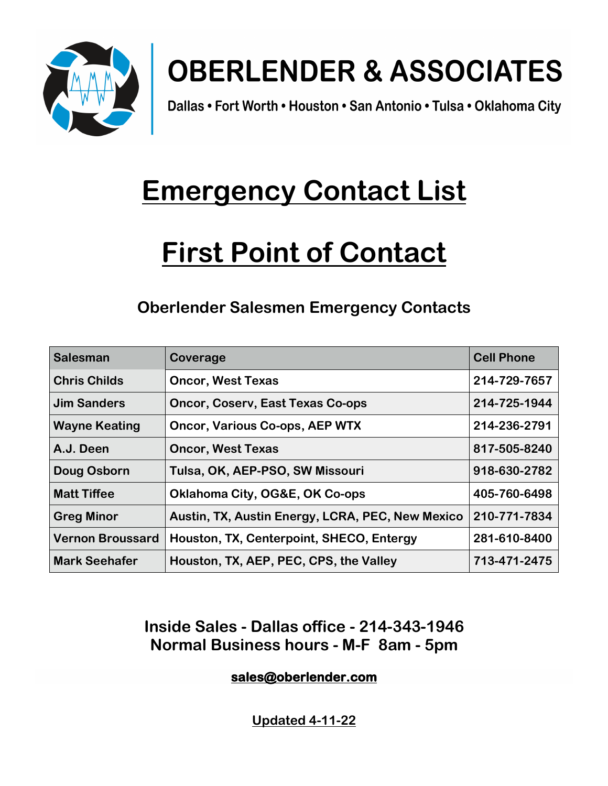

# **OBERLENDER & ASSOCIATES**

Dallas • Fort Worth • Houston • San Antonio • Tulsa • Oklahoma City

## **Emergency Contact List**

## **First Point of Contact**

### **Oberlender Salesmen Emergency Contacts**

| <b>Salesman</b>         | Coverage                                         | <b>Cell Phone</b> |
|-------------------------|--------------------------------------------------|-------------------|
| <b>Chris Childs</b>     | <b>Oncor, West Texas</b>                         | 214-729-7657      |
| <b>Jim Sanders</b>      | <b>Oncor, Coserv, East Texas Co-ops</b>          | 214-725-1944      |
| <b>Wayne Keating</b>    | <b>Oncor, Various Co-ops, AEP WTX</b>            | 214-236-2791      |
| A.J. Deen               | <b>Oncor, West Texas</b>                         | 817-505-8240      |
| Doug Osborn             | Tulsa, OK, AEP-PSO, SW Missouri                  | 918-630-2782      |
| <b>Matt Tiffee</b>      | <b>Oklahoma City, OG&amp;E, OK Co-ops</b>        | 405-760-6498      |
| <b>Greg Minor</b>       | Austin, TX, Austin Energy, LCRA, PEC, New Mexico | 210-771-7834      |
| <b>Vernon Broussard</b> | Houston, TX, Centerpoint, SHECO, Entergy         | 281-610-8400      |
| <b>Mark Seehafer</b>    | Houston, TX, AEP, PEC, CPS, the Valley           | 713-471-2475      |

### **Inside Sales - Dallas office - 214-343-1946 Normal Business hours - M-F 8am - 5pm**

#### **sales@oberlender.com**

**Updated 4-11-22**